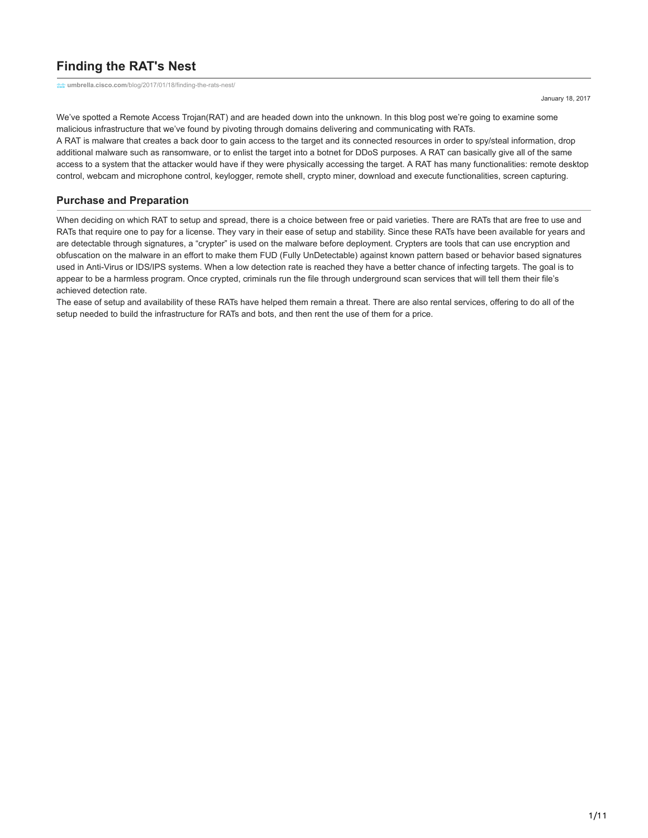# **Finding the RAT's Nest**

**the umbrella.cisco.com[/blog/2017/01/18/finding-the-rats-nest/](https://umbrella.cisco.com/blog/2017/01/18/finding-the-rats-nest/)** 

January 18, 2017

We've spotted a Remote Access Trojan(RAT) and are headed down into the unknown. In this blog post we're going to examine some malicious infrastructure that we've found by pivoting through domains delivering and communicating with RATs. A RAT is malware that creates a back door to gain access to the target and its connected resources in order to spy/steal information, drop additional malware such as ransomware, or to enlist the target into a botnet for DDoS purposes. A RAT can basically give all of the same access to a system that the attacker would have if they were physically accessing the target. A RAT has many functionalities: remote desktop control, webcam and microphone control, keylogger, remote shell, crypto miner, download and execute functionalities, screen capturing.

## **Purchase and Preparation**

When deciding on which RAT to setup and spread, there is a choice between free or paid varieties. There are RATs that are free to use and RATs that require one to pay for a license. They vary in their ease of setup and stability. Since these RATs have been available for years and are detectable through signatures, a "crypter" is used on the malware before deployment. Crypters are tools that can use encryption and obfuscation on the malware in an effort to make them FUD (Fully UnDetectable) against known pattern based or behavior based signatures used in Anti-Virus or IDS/IPS systems. When a low detection rate is reached they have a better chance of infecting targets. The goal is to appear to be a harmless program. Once crypted, criminals run the file through underground scan services that will tell them their file's achieved detection rate.

The ease of setup and availability of these RATs have helped them remain a threat. There are also rental services, offering to do all of the setup needed to build the infrastructure for RATs and bots, and then rent the use of them for a price.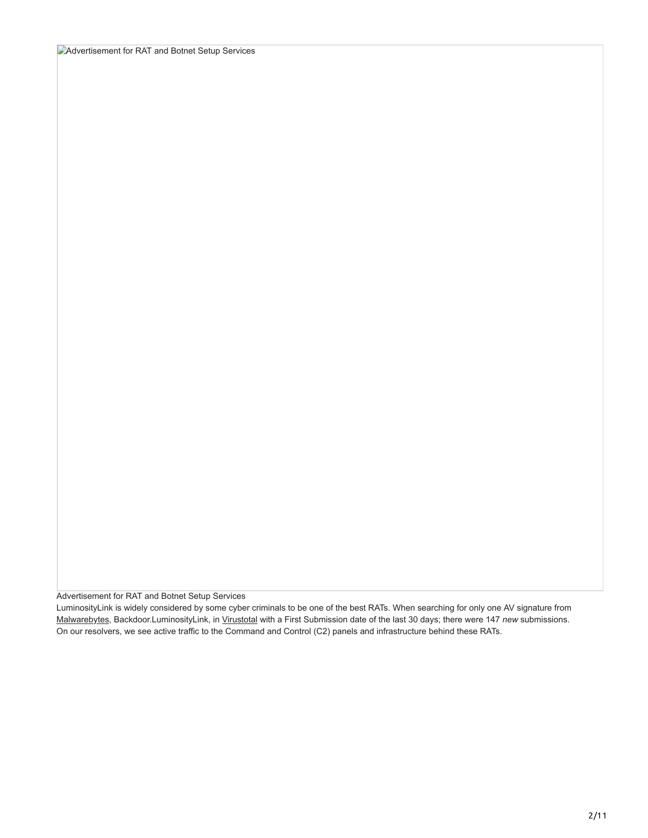Advertisement for RAT and Botnet Setup Services

Advertisement for RAT and Botnet Setup Services

LuminosityLink is widely considered by some cyber criminals to be one of the best RATs. When searching for only one AV signature from [Malwarebytes](https://www.malwarebytes.com/), Backdoor.LuminosityLink, in [Virustotal](https://www.virustotal.com/) with a First Submission date of the last 30 days; there were 147 *new* submissions. On our resolvers, we see active traffic to the Command and Control (C2) panels and infrastructure behind these RATs.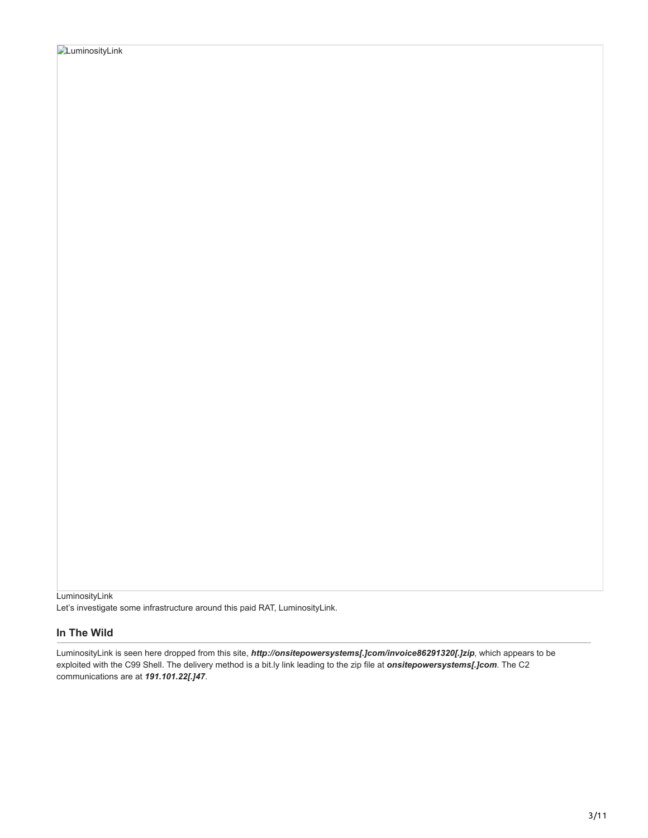LuminosityLink Let's investigate some infrastructure around this paid RAT, LuminosityLink.

#### **In The Wild**

LuminosityLink is seen here dropped from this site, *http://onsitepowersystems[.]com/invoice86291320[.]zip*, which appears to be exploited with the C99 Shell. The delivery method is a bit.ly link leading to the zip file at *onsitepowersystems[.]com*. The C2 communications are at *191.101.22[.]47*.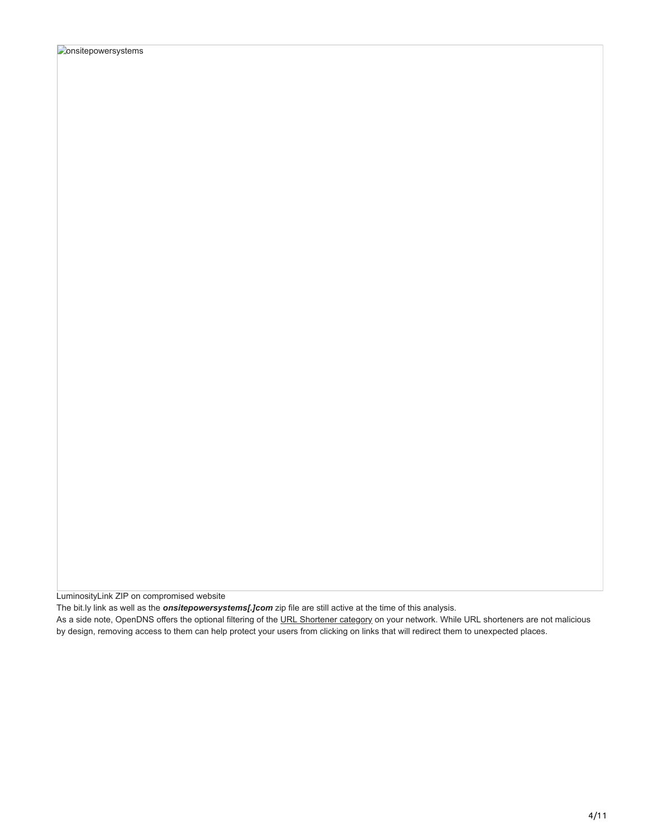LuminosityLink ZIP on compromised website

The bit.ly link as well as the *onsitepowersystems[.]com* zip file are still active at the time of this analysis.

As a side note, OpenDNS offers the optional filtering of the [URL Shortener category](https://umbrella.cisco.com/blog/new-content-filtering-url-shortener) on your network. While URL shorteners are not malicious by design, removing access to them can help protect your users from clicking on links that will redirect them to unexpected places.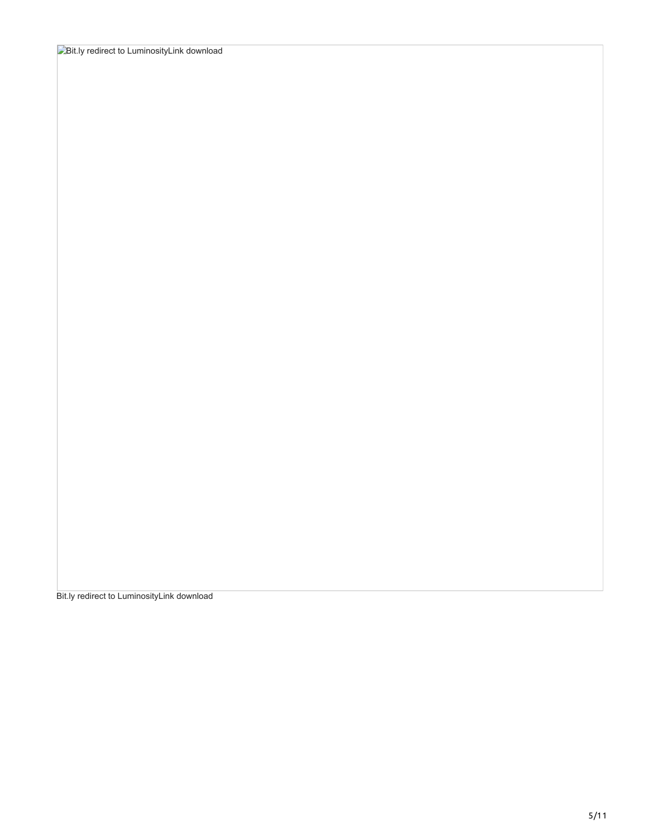**Bit.ly redirect to LuminosityLink download** 

Bit.ly redirect to LuminosityLink download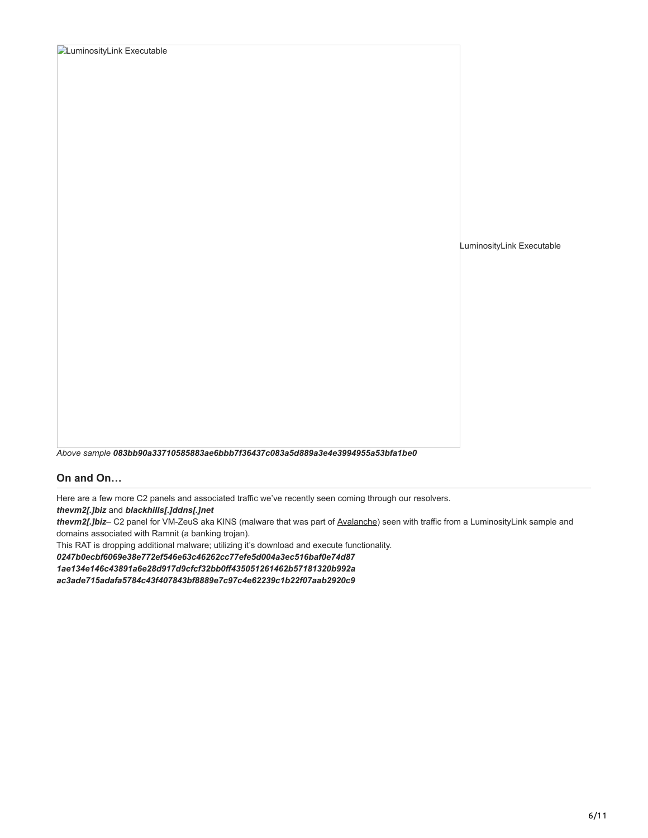**LuminosityLink Executable** LuminosityLink Executable

*Above sample 083bb90a33710585883ae6bbb7f36437c083a5d889a3e4e3994955a53bfa1be0*

# **On and On…**

Here are a few more C2 panels and associated traffic we've recently seen coming through our resolvers.

*thevm2[.]biz* and *blackhills[.]ddns[.]net* 

*thevm2[.]biz*– C2 panel for VM-ZeuS aka KINS (malware that was part of [Avalanche](https://www.us-cert.gov/ncas/alerts/TA16-336A)) seen with traffic from a LuminosityLink sample and domains associated with Ramnit (a banking trojan).

This RAT is dropping additional malware; utilizing it's download and execute functionality.

*0247b0ecbf6069e38e772ef546e63c46262cc77efe5d004a3ec516baf0e74d87*

*1ae134e146c43891a6e28d917d9cfcf32bb0ff435051261462b57181320b992a*

*ac3ade715adafa5784c43f407843bf8889e7c97c4e62239c1b22f07aab2920c9*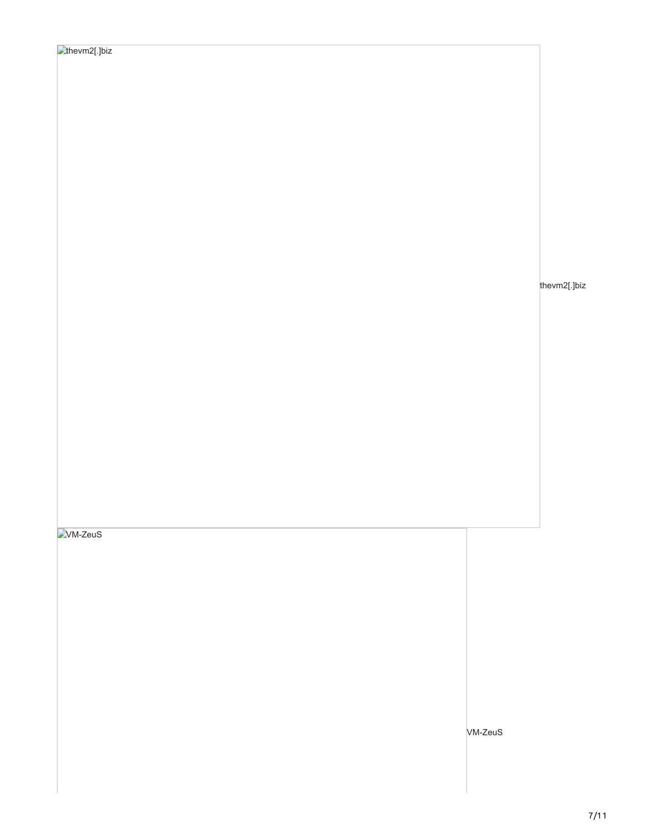thevm2[.]biz

### **D**<br>VM-ZeuS

VM-ZeuS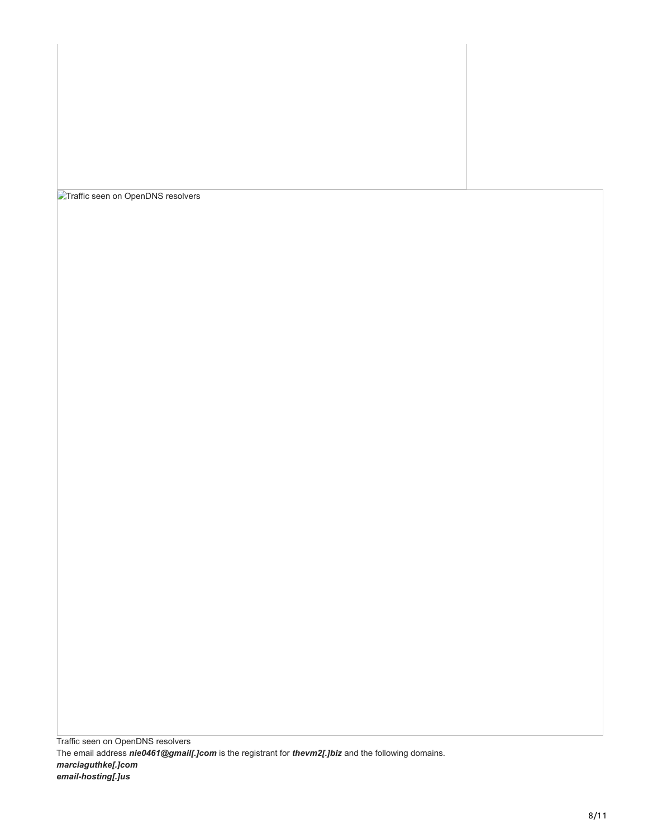**T**Traffic seen on OpenDNS resolvers

Traffic seen on OpenDNS resolvers The email address *nie0461@gmail[.]com* is the registrant for *thevm2[.]biz* and the following domains. *marciaguthke[.]com email-hosting[.]us*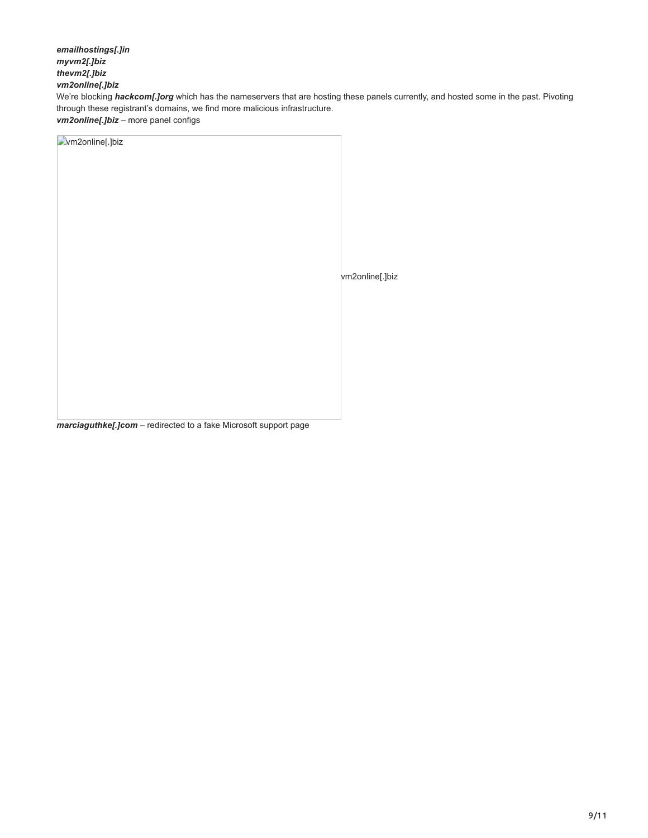*emailhostings[.]in myvm2[.]biz thevm2[.]biz vm2online[.]biz* We're blocking *hackcom[.]org* which has the nameservers that are hosting these panels currently, and hosted some in the past. Pivoting through these registrant's domains, we find more malicious infrastructure. *vm2online[.]biz* – more panel configs

| wm2online[.]biz |                 |
|-----------------|-----------------|
|                 |                 |
|                 |                 |
|                 |                 |
|                 |                 |
|                 | vm2online[.]biz |
|                 |                 |
|                 |                 |
|                 |                 |
|                 |                 |
|                 |                 |
|                 |                 |

*marciaguthke[.]com* – redirected to a fake Microsoft support page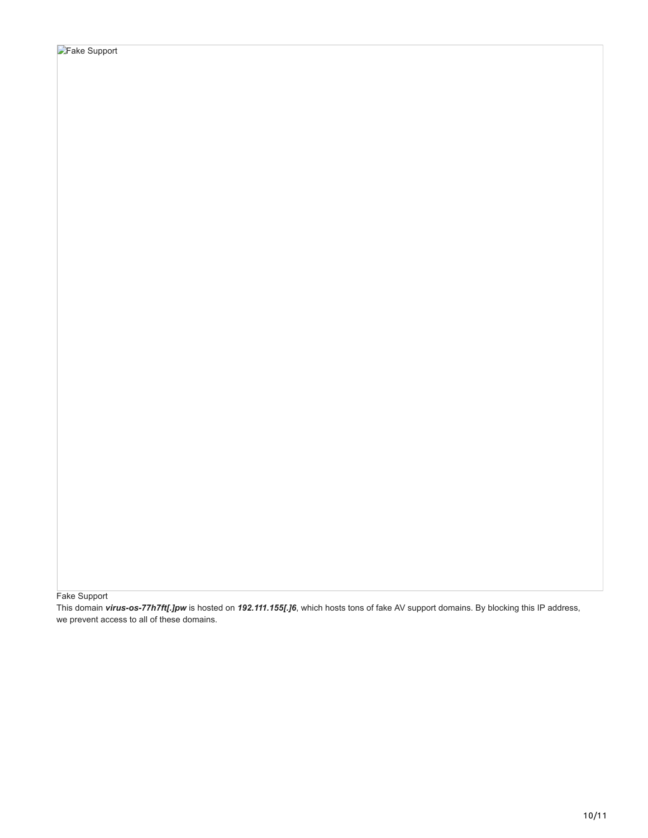Fake Support

This domain *virus-os-77h7ft[.]pw* is hosted on *192.111.155[.]6*, which hosts tons of fake AV support domains. By blocking this IP address, we prevent access to all of these domains.